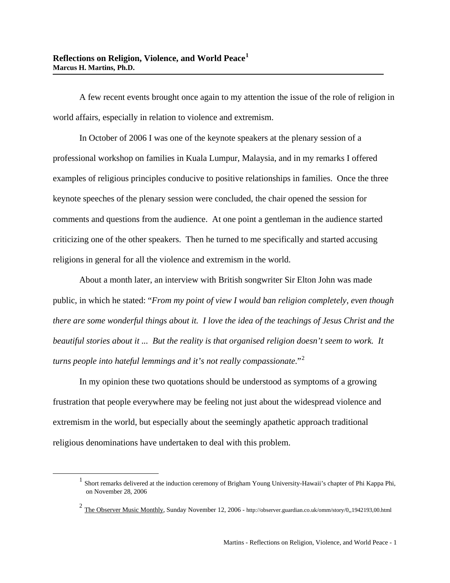A few recent events brought once again to my attention the issue of the role of religion in world affairs, especially in relation to violence and extremism.

In October of 2006 I was one of the keynote speakers at the plenary session of a professional workshop on families in Kuala Lumpur, Malaysia, and in my remarks I offered examples of religious principles conducive to positive relationships in families. Once the three keynote speeches of the plenary session were concluded, the chair opened the session for comments and questions from the audience. At one point a gentleman in the audience started criticizing one of the other speakers. Then he turned to me specifically and started accusing religions in general for all the violence and extremism in the world.

About a month later, an interview with British songwriter Sir Elton John was made public, in which he stated: "*From my point of view I would ban religion completely, even though there are some wonderful things about it. I love the idea of the teachings of Jesus Christ and the beautiful stories about it ... But the reality is that organised religion doesn't seem to work. It turns people into hateful lemmings and it's not really compassionate.*"[2](#page-0-1)

In my opinion these two quotations should be understood as symptoms of a growing frustration that people everywhere may be feeling not just about the widespread violence and extremism in the world, but especially about the seemingly apathetic approach traditional religious denominations have undertaken to deal with this problem.

<span id="page-0-0"></span> $1$  Short remarks delivered at the induction ceremony of Brigham Young University-Hawaii's chapter of Phi Kappa Phi, on November 28, 2006

<span id="page-0-1"></span><sup>2</sup> The Observer Music Monthly, Sunday November 12, 2006 - http://observer.guardian.co.uk/omm/story/0,,1942193,00.html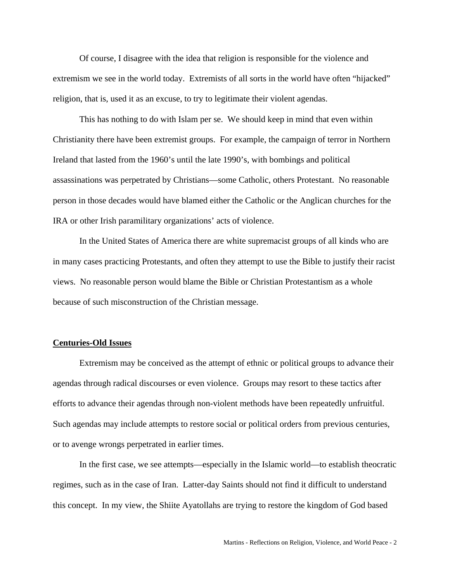Of course, I disagree with the idea that religion is responsible for the violence and extremism we see in the world today. Extremists of all sorts in the world have often "hijacked" religion, that is, used it as an excuse, to try to legitimate their violent agendas.

This has nothing to do with Islam per se. We should keep in mind that even within Christianity there have been extremist groups. For example, the campaign of terror in Northern Ireland that lasted from the 1960's until the late 1990's, with bombings and political assassinations was perpetrated by Christians—some Catholic, others Protestant. No reasonable person in those decades would have blamed either the Catholic or the Anglican churches for the IRA or other Irish paramilitary organizations' acts of violence.

In the United States of America there are white supremacist groups of all kinds who are in many cases practicing Protestants, and often they attempt to use the Bible to justify their racist views. No reasonable person would blame the Bible or Christian Protestantism as a whole because of such misconstruction of the Christian message.

## **Centuries-Old Issues**

Extremism may be conceived as the attempt of ethnic or political groups to advance their agendas through radical discourses or even violence. Groups may resort to these tactics after efforts to advance their agendas through non-violent methods have been repeatedly unfruitful. Such agendas may include attempts to restore social or political orders from previous centuries, or to avenge wrongs perpetrated in earlier times.

In the first case, we see attempts—especially in the Islamic world—to establish theocratic regimes, such as in the case of Iran. Latter-day Saints should not find it difficult to understand this concept. In my view, the Shiite Ayatollahs are trying to restore the kingdom of God based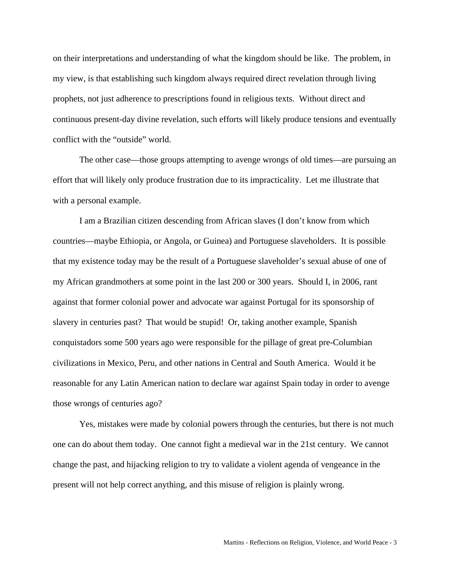on their interpretations and understanding of what the kingdom should be like. The problem, in my view, is that establishing such kingdom always required direct revelation through living prophets, not just adherence to prescriptions found in religious texts. Without direct and continuous present-day divine revelation, such efforts will likely produce tensions and eventually conflict with the "outside" world.

The other case—those groups attempting to avenge wrongs of old times—are pursuing an effort that will likely only produce frustration due to its impracticality. Let me illustrate that with a personal example.

I am a Brazilian citizen descending from African slaves (I don't know from which countries—maybe Ethiopia, or Angola, or Guinea) and Portuguese slaveholders. It is possible that my existence today may be the result of a Portuguese slaveholder's sexual abuse of one of my African grandmothers at some point in the last 200 or 300 years. Should I, in 2006, rant against that former colonial power and advocate war against Portugal for its sponsorship of slavery in centuries past? That would be stupid! Or, taking another example, Spanish conquistadors some 500 years ago were responsible for the pillage of great pre-Columbian civilizations in Mexico, Peru, and other nations in Central and South America. Would it be reasonable for any Latin American nation to declare war against Spain today in order to avenge those wrongs of centuries ago?

Yes, mistakes were made by colonial powers through the centuries, but there is not much one can do about them today. One cannot fight a medieval war in the 21st century. We cannot change the past, and hijacking religion to try to validate a violent agenda of vengeance in the present will not help correct anything, and this misuse of religion is plainly wrong.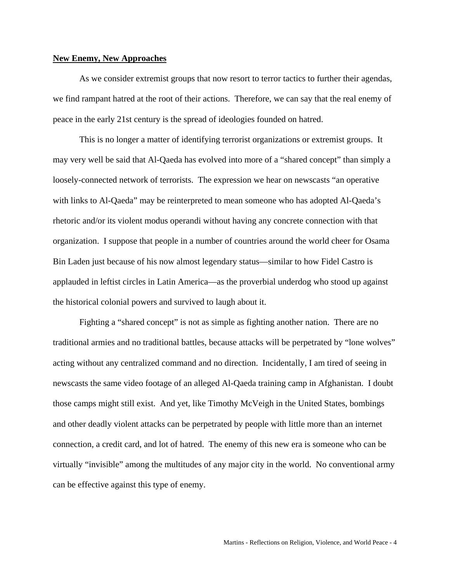## **New Enemy, New Approaches**

As we consider extremist groups that now resort to terror tactics to further their agendas, we find rampant hatred at the root of their actions. Therefore, we can say that the real enemy of peace in the early 21st century is the spread of ideologies founded on hatred.

This is no longer a matter of identifying terrorist organizations or extremist groups. It may very well be said that Al-Qaeda has evolved into more of a "shared concept" than simply a loosely-connected network of terrorists. The expression we hear on newscasts "an operative with links to Al-Qaeda" may be reinterpreted to mean someone who has adopted Al-Qaeda's rhetoric and/or its violent modus operandi without having any concrete connection with that organization. I suppose that people in a number of countries around the world cheer for Osama Bin Laden just because of his now almost legendary status—similar to how Fidel Castro is applauded in leftist circles in Latin America—as the proverbial underdog who stood up against the historical colonial powers and survived to laugh about it.

 Fighting a "shared concept" is not as simple as fighting another nation. There are no traditional armies and no traditional battles, because attacks will be perpetrated by "lone wolves" acting without any centralized command and no direction. Incidentally, I am tired of seeing in newscasts the same video footage of an alleged Al-Qaeda training camp in Afghanistan. I doubt those camps might still exist. And yet, like Timothy McVeigh in the United States, bombings and other deadly violent attacks can be perpetrated by people with little more than an internet connection, a credit card, and lot of hatred. The enemy of this new era is someone who can be virtually "invisible" among the multitudes of any major city in the world. No conventional army can be effective against this type of enemy.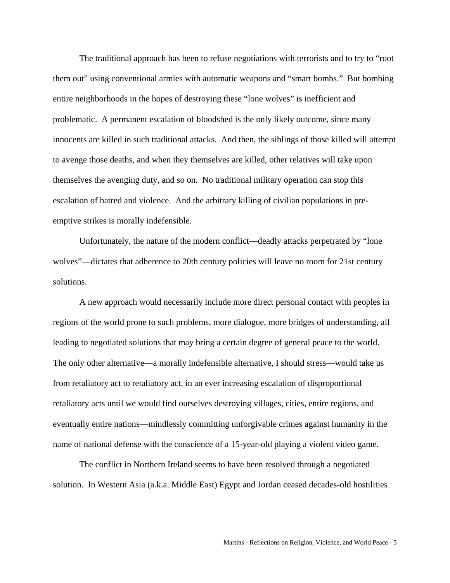The traditional approach has been to refuse negotiations with terrorists and to try to "root them out" using conventional armies with automatic weapons and "smart bombs." But bombing entire neighborhoods in the hopes of destroying these "lone wolves" is inefficient and problematic. A permanent escalation of bloodshed is the only likely outcome, since many innocents are killed in such traditional attacks. And then, the siblings of those killed will attempt to avenge those deaths, and when they themselves are killed, other relatives will take upon themselves the avenging duty, and so on. No traditional military operation can stop this escalation of hatred and violence. And the arbitrary killing of civilian populations in preemptive strikes is morally indefensible.

Unfortunately, the nature of the modern conflict—deadly attacks perpetrated by "lone wolves"—dictates that adherence to 20th century policies will leave no room for 21st century solutions.

A new approach would necessarily include more direct personal contact with peoples in regions of the world prone to such problems, more dialogue, more bridges of understanding, all leading to negotiated solutions that may bring a certain degree of general peace to the world. The only other alternative—a morally indefensible alternative, I should stress—would take us from retaliatory act to retaliatory act, in an ever increasing escalation of disproportional retaliatory acts until we would find ourselves destroying villages, cities, entire regions, and eventually entire nations—mindlessly committing unforgivable crimes against humanity in the name of national defense with the conscience of a 15-year-old playing a violent video game.

The conflict in Northern Ireland seems to have been resolved through a negotiated solution. In Western Asia (a.k.a. Middle East) Egypt and Jordan ceased decades-old hostilities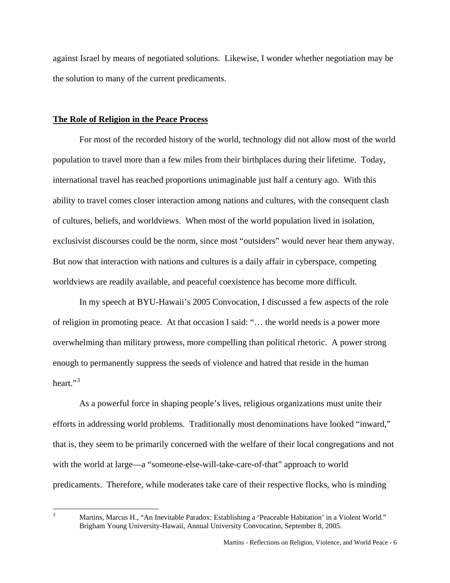against Israel by means of negotiated solutions. Likewise, I wonder whether negotiation may be the solution to many of the current predicaments.

## **The Role of Religion in the Peace Process**

For most of the recorded history of the world, technology did not allow most of the world population to travel more than a few miles from their birthplaces during their lifetime. Today, international travel has reached proportions unimaginable just half a century ago. With this ability to travel comes closer interaction among nations and cultures, with the consequent clash of cultures, beliefs, and worldviews. When most of the world population lived in isolation, exclusivist discourses could be the norm, since most "outsiders" would never hear them anyway. But now that interaction with nations and cultures is a daily affair in cyberspace, competing worldviews are readily available, and peaceful coexistence has become more difficult.

In my speech at BYU-Hawaii's 2005 Convocation, I discussed a few aspects of the role of religion in promoting peace. At that occasion I said: "… the world needs is a power more overwhelming than military prowess, more compelling than political rhetoric. A power strong enough to permanently suppress the seeds of violence and hatred that reside in the human heart." $3$ 

As a powerful force in shaping people's lives, religious organizations must unite their efforts in addressing world problems. Traditionally most denominations have looked "inward," that is, they seem to be primarily concerned with the welfare of their local congregations and not with the world at large—a "someone-else-will-take-care-of-that" approach to world predicaments. Therefore, while moderates take care of their respective flocks, who is minding

<span id="page-5-0"></span><sup>2</sup><br>3

Martins, Marcus H., "An Inevitable Paradox: Establishing a 'Peaceable Habitation' in a Violent World." Brigham Young University-Hawaii, Annual University Convocation, September 8, 2005.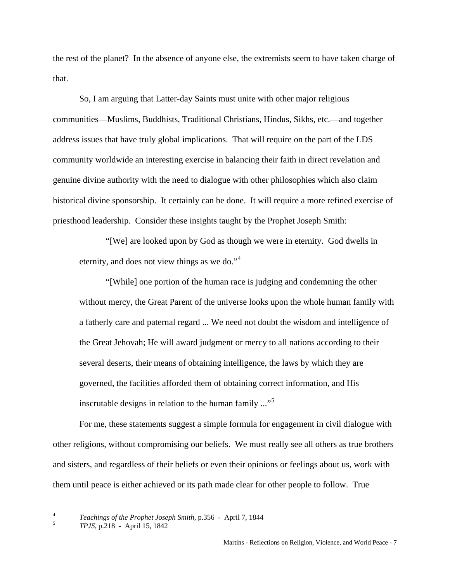the rest of the planet? In the absence of anyone else, the extremists seem to have taken charge of that.

So, I am arguing that Latter-day Saints must unite with other major religious communities—Muslims, Buddhists, Traditional Christians, Hindus, Sikhs, etc.—and together address issues that have truly global implications. That will require on the part of the LDS community worldwide an interesting exercise in balancing their faith in direct revelation and genuine divine authority with the need to dialogue with other philosophies which also claim historical divine sponsorship. It certainly can be done. It will require a more refined exercise of priesthood leadership. Consider these insights taught by the Prophet Joseph Smith:

"[We] are looked upon by God as though we were in eternity. God dwells in eternity, and does not view things as we do."<sup>[4](#page-6-0)</sup>

"[While] one portion of the human race is judging and condemning the other without mercy, the Great Parent of the universe looks upon the whole human family with a fatherly care and paternal regard ... We need not doubt the wisdom and intelligence of the Great Jehovah; He will award judgment or mercy to all nations according to their several deserts, their means of obtaining intelligence, the laws by which they are governed, the facilities afforded them of obtaining correct information, and His inscrutable designs in relation to the human family  $\ldots$ <sup>[5](#page-6-1)</sup>

 For me, these statements suggest a simple formula for engagement in civil dialogue with other religions, without compromising our beliefs. We must really see all others as true brothers and sisters, and regardless of their beliefs or even their opinions or feelings about us, work with them until peace is either achieved or its path made clear for other people to follow. True

<span id="page-6-0"></span> $\overline{4}$ <sup>4</sup> *Teachings of the Prophet Joseph Smith*, p.356 - April 7, 1844

<span id="page-6-1"></span>*TPJS*, p.218 - April 15, 1842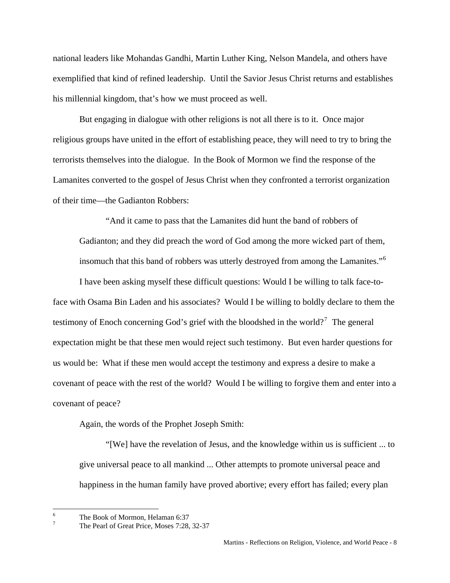national leaders like Mohandas Gandhi, Martin Luther King, Nelson Mandela, and others have exemplified that kind of refined leadership. Until the Savior Jesus Christ returns and establishes his millennial kingdom, that's how we must proceed as well.

But engaging in dialogue with other religions is not all there is to it. Once major religious groups have united in the effort of establishing peace, they will need to try to bring the terrorists themselves into the dialogue. In the Book of Mormon we find the response of the Lamanites converted to the gospel of Jesus Christ when they confronted a terrorist organization of their time—the Gadianton Robbers:

"And it came to pass that the Lamanites did hunt the band of robbers of Gadianton; and they did preach the word of God among the more wicked part of them, insomuch that this band of robbers was utterly destroyed from among the Lamanites."<sup>[6](#page-7-0)</sup>

 I have been asking myself these difficult questions: Would I be willing to talk face-toface with Osama Bin Laden and his associates? Would I be willing to boldly declare to them the testimony of Enoch concerning God's grief with the bloodshed in the world?<sup>[7](#page-7-1)</sup> The general expectation might be that these men would reject such testimony. But even harder questions for us would be: What if these men would accept the testimony and express a desire to make a covenant of peace with the rest of the world? Would I be willing to forgive them and enter into a covenant of peace?

Again, the words of the Prophet Joseph Smith:

"[We] have the revelation of Jesus, and the knowledge within us is sufficient ... to give universal peace to all mankind ... Other attempts to promote universal peace and happiness in the human family have proved abortive; every effort has failed; every plan

 $\overline{a}$ 

<span id="page-7-0"></span><sup>6</sup> The Book of Mormon, Helaman 6:37

<span id="page-7-1"></span><sup>7</sup> The Pearl of Great Price, Moses 7:28, 32-37